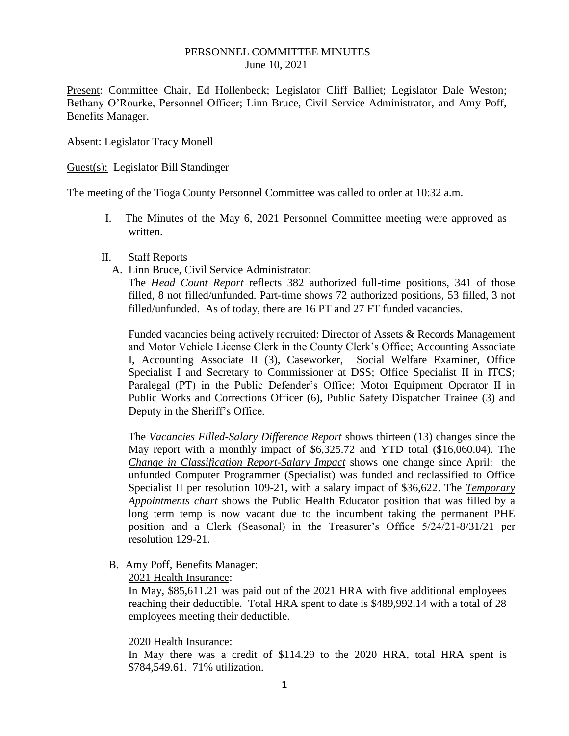## PERSONNEL COMMITTEE MINUTES June 10, 2021

Present: Committee Chair, Ed Hollenbeck; Legislator Cliff Balliet; Legislator Dale Weston; Bethany O'Rourke, Personnel Officer; Linn Bruce, Civil Service Administrator, and Amy Poff, Benefits Manager.

Absent: Legislator Tracy Monell

Guest(s): Legislator Bill Standinger

The meeting of the Tioga County Personnel Committee was called to order at 10:32 a.m.

- I. The Minutes of the May 6, 2021 Personnel Committee meeting were approved as written.
- II. Staff Reports
	- A. Linn Bruce, Civil Service Administrator:

The *Head Count Report* reflects 382 authorized full-time positions, 341 of those filled, 8 not filled/unfunded. Part-time shows 72 authorized positions, 53 filled, 3 not filled/unfunded. As of today, there are 16 PT and 27 FT funded vacancies.

Funded vacancies being actively recruited: Director of Assets & Records Management and Motor Vehicle License Clerk in the County Clerk's Office; Accounting Associate I, Accounting Associate II (3), Caseworker, Social Welfare Examiner, Office Specialist I and Secretary to Commissioner at DSS; Office Specialist II in ITCS; Paralegal (PT) in the Public Defender's Office; Motor Equipment Operator II in Public Works and Corrections Officer (6), Public Safety Dispatcher Trainee (3) and Deputy in the Sheriff's Office.

The *Vacancies Filled-Salary Difference Report* shows thirteen (13) changes since the May report with a monthly impact of \$6,325.72 and YTD total (\$16,060.04). The *Change in Classification Report-Salary Impact* shows one change since April: the unfunded Computer Programmer (Specialist) was funded and reclassified to Office Specialist II per resolution 109-21, with a salary impact of \$36,622. The *Temporary Appointments chart* shows the Public Health Educator position that was filled by a long term temp is now vacant due to the incumbent taking the permanent PHE position and a Clerk (Seasonal) in the Treasurer's Office 5/24/21-8/31/21 per resolution 129-21.

B. Amy Poff, Benefits Manager:

2021 Health Insurance:

In May, \$85,611.21 was paid out of the 2021 HRA with five additional employees reaching their deductible. Total HRA spent to date is \$489,992.14 with a total of 28 employees meeting their deductible.

2020 Health Insurance:

In May there was a credit of \$114.29 to the 2020 HRA, total HRA spent is \$784,549.61. 71% utilization.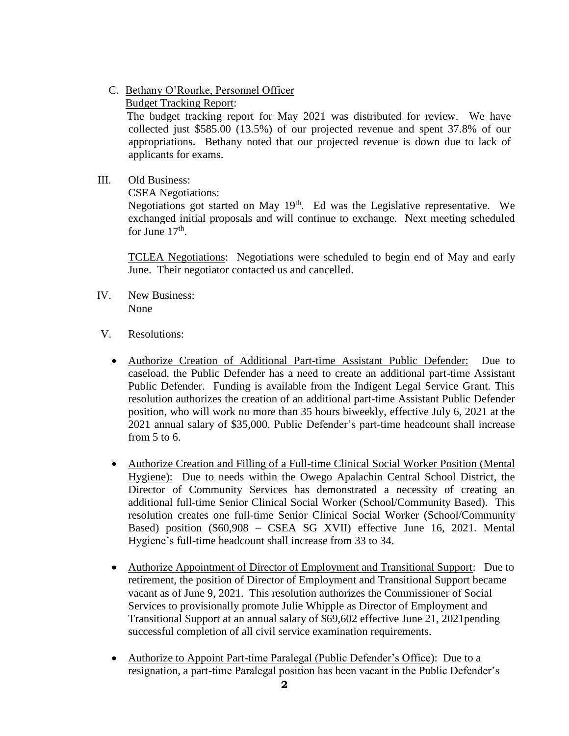C. Bethany O'Rourke, Personnel Officer

Budget Tracking Report:

 The budget tracking report for May 2021 was distributed for review. We have collected just \$585.00 (13.5%) of our projected revenue and spent 37.8% of our appropriations. Bethany noted that our projected revenue is down due to lack of applicants for exams.

## III. Old Business:

CSEA Negotiations:

Negotiations got started on May 19<sup>th</sup>. Ed was the Legislative representative. We exchanged initial proposals and will continue to exchange. Next meeting scheduled for June  $17<sup>th</sup>$ .

TCLEA Negotiations: Negotiations were scheduled to begin end of May and early June. Their negotiator contacted us and cancelled.

- IV. New Business: None
- V. Resolutions:
	- Authorize Creation of Additional Part-time Assistant Public Defender: Due to caseload, the Public Defender has a need to create an additional part-time Assistant Public Defender. Funding is available from the Indigent Legal Service Grant. This resolution authorizes the creation of an additional part-time Assistant Public Defender position, who will work no more than 35 hours biweekly, effective July 6, 2021 at the 2021 annual salary of \$35,000. Public Defender's part-time headcount shall increase from 5 to 6.
	- Authorize Creation and Filling of a Full-time Clinical Social Worker Position (Mental Hygiene): Due to needs within the Owego Apalachin Central School District, the Director of Community Services has demonstrated a necessity of creating an additional full-time Senior Clinical Social Worker (School/Community Based). This resolution creates one full-time Senior Clinical Social Worker (School/Community Based) position (\$60,908 – CSEA SG XVII) effective June 16, 2021. Mental Hygiene's full-time headcount shall increase from 33 to 34.
	- Authorize Appointment of Director of Employment and Transitional Support: Due to retirement, the position of Director of Employment and Transitional Support became vacant as of June 9, 2021. This resolution authorizes the Commissioner of Social Services to provisionally promote Julie Whipple as Director of Employment and Transitional Support at an annual salary of \$69,602 effective June 21, 2021pending successful completion of all civil service examination requirements.
	- Authorize to Appoint Part-time Paralegal (Public Defender's Office): Due to a resignation, a part-time Paralegal position has been vacant in the Public Defender's